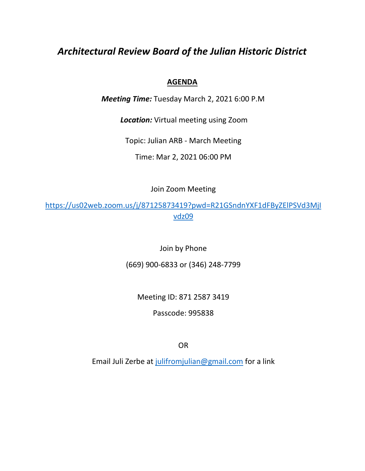# *Architectural Review Board of the Julian Historic District*

# **AGENDA**

*Meeting Time:* Tuesday March 2, 2021 6:00 P.M

*Location:* Virtual meeting using Zoom

Topic: Julian ARB - March Meeting

Time: Mar 2, 2021 06:00 PM

Join Zoom Meeting

[https://us02web.zoom.us/j/87125873419?pwd=R21GSndnYXF1dFByZElPSVd3MjI](https://us02web.zoom.us/j/87125873419?pwd=R21GSndnYXF1dFByZElPSVd3MjIvdz09) [vdz09](https://us02web.zoom.us/j/87125873419?pwd=R21GSndnYXF1dFByZElPSVd3MjIvdz09)

Join by Phone

(669) 900-6833 or (346) 248-7799

Meeting ID: 871 2587 3419

Passcode: 995838

OR

Email Juli Zerbe at [julifromjulian@gmail.com](mailto:julifromjulian@gmail.com) for a link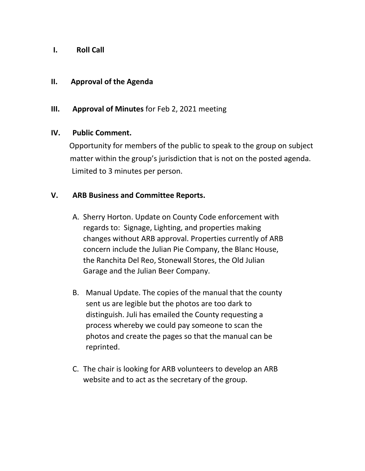## **I. Roll Call**

#### **II. Approval of the Agenda**

### **III. Approval of Minutes** for Feb 2, 2021 meeting

#### **IV. Public Comment.**

 Opportunity for members of the public to speak to the group on subject matter within the group's jurisdiction that is not on the posted agenda. Limited to 3 minutes per person.

### **V. ARB Business and Committee Reports.**

- A. Sherry Horton. Update on County Code enforcement with regards to: Signage, Lighting, and properties making changes without ARB approval. Properties currently of ARB concern include the Julian Pie Company, the Blanc House, the Ranchita Del Reo, Stonewall Stores, the Old Julian Garage and the Julian Beer Company.
- B. Manual Update. The copies of the manual that the county sent us are legible but the photos are too dark to distinguish. Juli has emailed the County requesting a process whereby we could pay someone to scan the photos and create the pages so that the manual can be reprinted.
- C. The chair is looking for ARB volunteers to develop an ARB website and to act as the secretary of the group.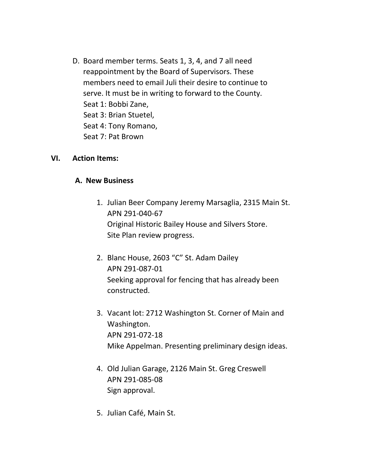D. Board member terms. Seats 1, 3, 4, and 7 all need reappointment by the Board of Supervisors. These members need to email Juli their desire to continue to serve. It must be in writing to forward to the County. Seat 1: Bobbi Zane, Seat 3: Brian Stuetel, Seat 4: Tony Romano, Seat 7: Pat Brown

#### **VI. Action Items:**

#### **A. New Business**

- 1. Julian Beer Company Jeremy Marsaglia, 2315 Main St. APN 291-040-67 Original Historic Bailey House and Silvers Store. Site Plan review progress.
- 2. Blanc House, 2603 "C" St. Adam Dailey APN 291-087-01 Seeking approval for fencing that has already been constructed.
- 3. Vacant lot: 2712 Washington St. Corner of Main and Washington. APN 291-072-18 Mike Appelman. Presenting preliminary design ideas.
- 4. Old Julian Garage, 2126 Main St. Greg Creswell APN 291-085-08 Sign approval.
- 5. Julian Café, Main St.